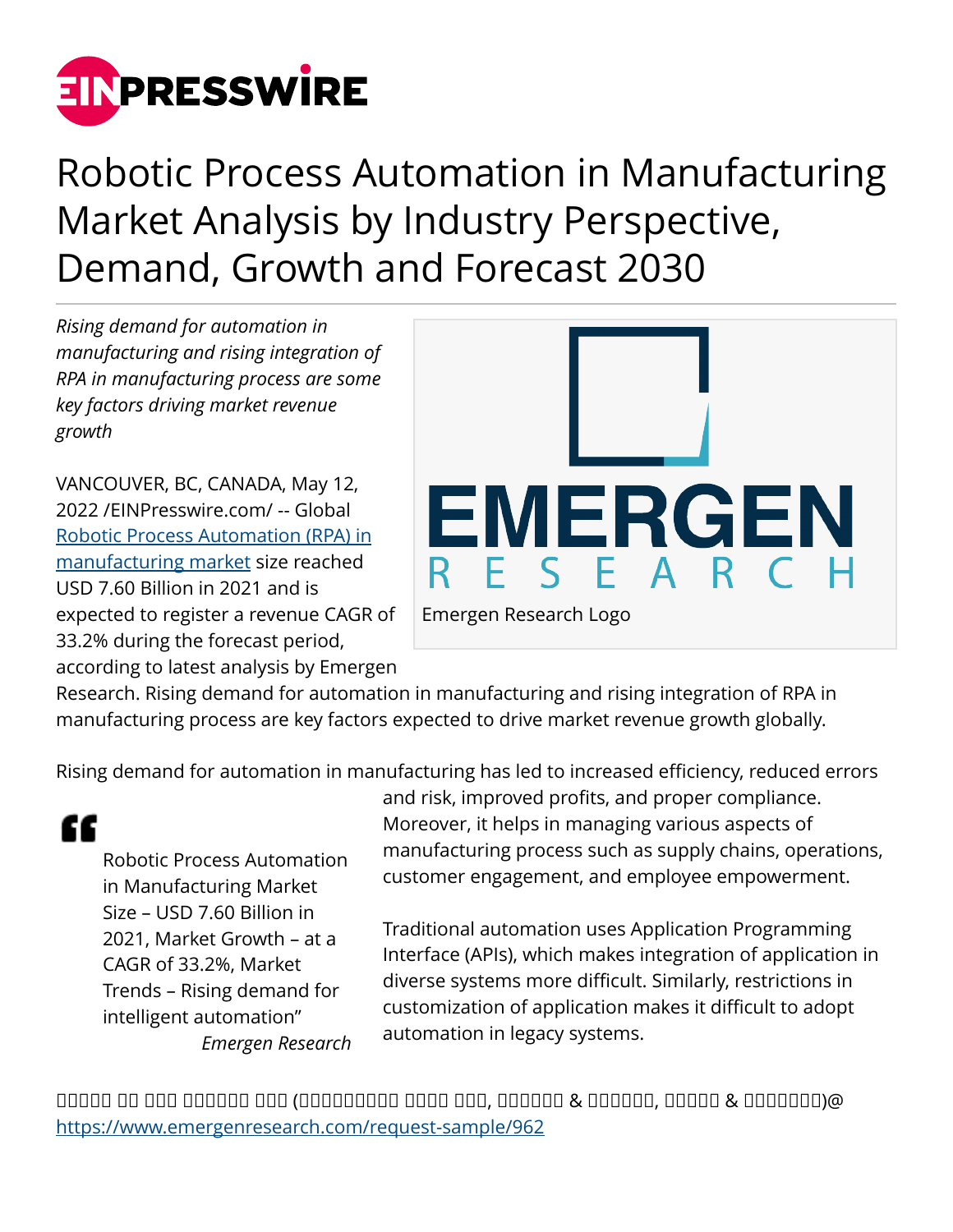

# Robotic Process Automation in Manufacturing Market Analysis by Industry Perspective, Demand, Growth and Forecast 2030

*Rising demand for automation in manufacturing and rising integration of RPA in manufacturing process are some key factors driving market revenue growth*

VANCOUVER, BC, CANADA, May 12, 2022 /[EINPresswire.com](http://www.einpresswire.com)/ -- Global [Robotic Process Automation \(RPA\) in](https://www.emergenresearch.com/industry-report/robotic-process-automation-in-manufacturing-market) [manufacturing market](https://www.emergenresearch.com/industry-report/robotic-process-automation-in-manufacturing-market) size reached USD 7.60 Billion in 2021 and is expected to register a revenue CAGR of 33.2% during the forecast period, according to latest analysis by Emergen



Research. Rising demand for automation in manufacturing and rising integration of RPA in manufacturing process are key factors expected to drive market revenue growth globally.

Rising demand for automation in manufacturing has led to increased efficiency, reduced errors

# "

Robotic Process Automation in Manufacturing Market Size – USD 7.60 Billion in 2021, Market Growth – at a CAGR of 33.2%, Market Trends – Rising demand for intelligent automation" *Emergen Research* and risk, improved profits, and proper compliance. Moreover, it helps in managing various aspects of manufacturing process such as supply chains, operations, customer engagement, and employee empowerment.

Traditional automation uses Application Programming Interface (APIs), which makes integration of application in diverse systems more difficult. Similarly, restrictions in customization of application makes it difficult to adopt automation in legacy systems.

ᵀᵂᵂᵁᵂ ᵁᵂ ᵂᵁᵂ ᵁᵀᵀᵀᵀᵀ ᵀᵀᵀ (ᵀᵂᵁᵂᵂᵁᵂᵂᵂ ᵀᵂᵂᵂ ᵁᵀᵀ, ᵀᵂᵁᵂᵂᵂ & ᵀᵂᵁᵂᵂᵂ, ᵁᵁᵁᵂᵁ & ᵀᵂᵂᵂᵂᵁᵂ)@ <https://www.emergenresearch.com/request-sample/962>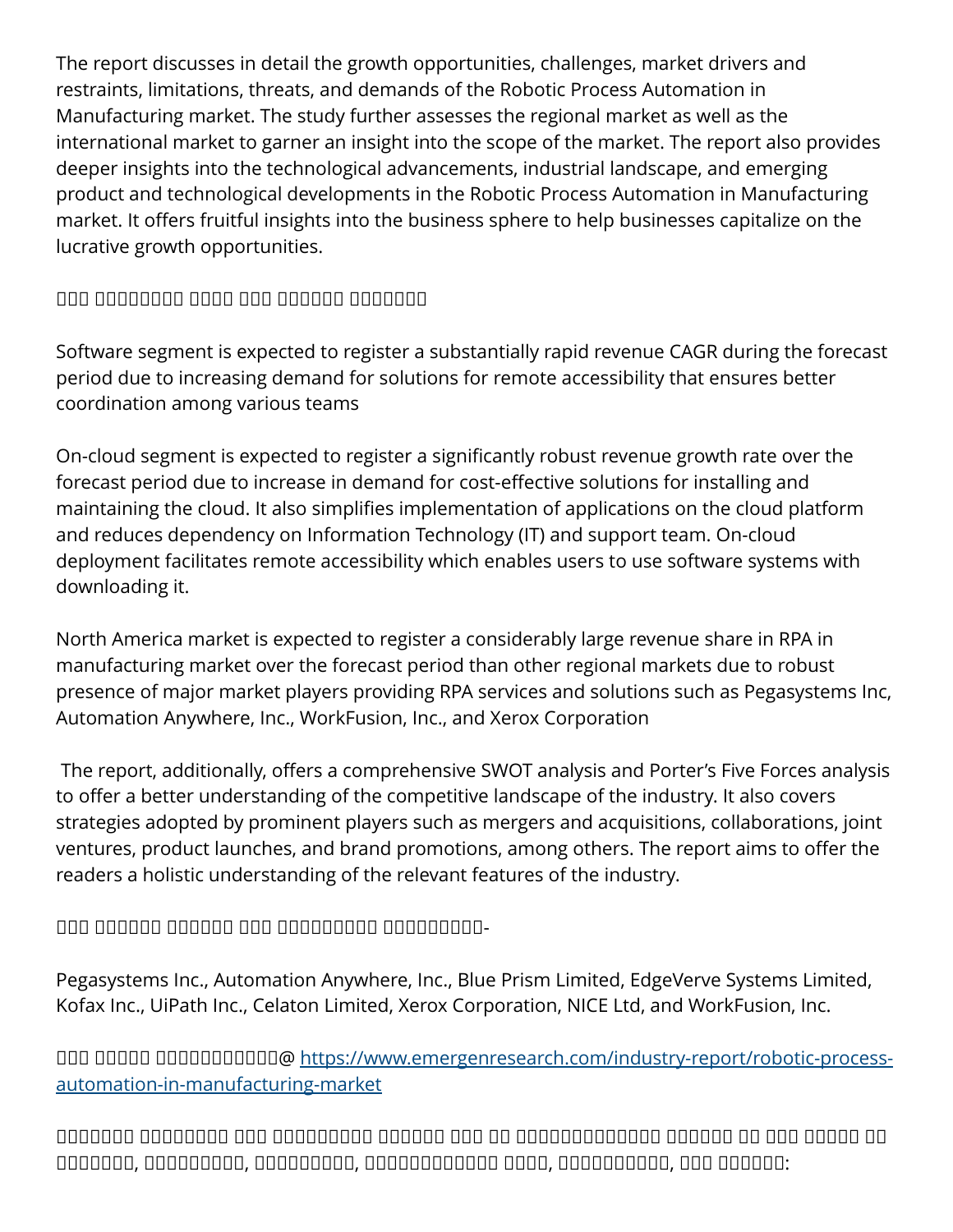The report discusses in detail the growth opportunities, challenges, market drivers and restraints, limitations, threats, and demands of the Robotic Process Automation in Manufacturing market. The study further assesses the regional market as well as the international market to garner an insight into the scope of the market. The report also provides deeper insights into the technological advancements, industrial landscape, and emerging product and technological developments in the Robotic Process Automation in Manufacturing market. It offers fruitful insights into the business sphere to help businesses capitalize on the lucrative growth opportunities.

# $\Box$

Software segment is expected to register a substantially rapid revenue CAGR during the forecast period due to increasing demand for solutions for remote accessibility that ensures better coordination among various teams

On-cloud segment is expected to register a significantly robust revenue growth rate over the forecast period due to increase in demand for cost-effective solutions for installing and maintaining the cloud. It also simplifies implementation of applications on the cloud platform and reduces dependency on Information Technology (IT) and support team. On-cloud deployment facilitates remote accessibility which enables users to use software systems with downloading it.

North America market is expected to register a considerably large revenue share in RPA in manufacturing market over the forecast period than other regional markets due to robust presence of major market players providing RPA services and solutions such as Pegasystems Inc, Automation Anywhere, Inc., WorkFusion, Inc., and Xerox Corporation

 The report, additionally, offers a comprehensive SWOT analysis and Porter's Five Forces analysis to offer a better understanding of the competitive landscape of the industry. It also covers strategies adopted by prominent players such as mergers and acquisitions, collaborations, joint ventures, product launches, and brand promotions, among others. The report aims to offer the readers a holistic understanding of the relevant features of the industry.

## $\Box$

Pegasystems Inc., Automation Anywhere, Inc., Blue Prism Limited, EdgeVerve Systems Limited, Kofax Inc., UiPath Inc., Celaton Limited, Xerox Corporation, NICE Ltd, and WorkFusion, Inc.

**QOO QOOQ QOOQQOQQQOQ** [https://www.emergenresearch.com/industry-report/robotic-process](https://www.emergenresearch.com/industry-report/robotic-process-automation-in-manufacturing-market)[automation-in-manufacturing-market](https://www.emergenresearch.com/industry-report/robotic-process-automation-in-manufacturing-market)

ᵀᵂᵁᵂᵂᵁᵂ ᵁᵁᵂᵁᵁᵂᵁᵂ ᵂᵁᵂ ᵂᵁᵂᵂᵁᵂᵂᵁᵁ ᵂᵂᵂᵁᵁᵂ ᵁᵀᵀ ᵂᵂ ᵂᵁᵂᵂᵁᵁᵁᵂᵂᵂᵂᵂᵂ ᵂᵁᵂᵂᵁᵂ ᵂᵂ ᵂᵂᵁ ᵁᵁᵂᵂᵂ ᵂᵁ ᵂᵂᵂᵁᵁᵂᵂ, ᵂᵂᵁᵂᵁᵂᵂᵂᵂ, ᵁᵂᵂᵂᵂᵂᵁᵂᵂ, ᵂᵂᵂᵁᵂᵂᵃᵁᵂᵂᵂᵂ ᵂᵂᵃᵁ, ᵁᵁᵂᵂᵂᵃᵂᵁᵂᵂ, ᵁᵂᵁ ᵂᵁᵂᵂᵂᵂ: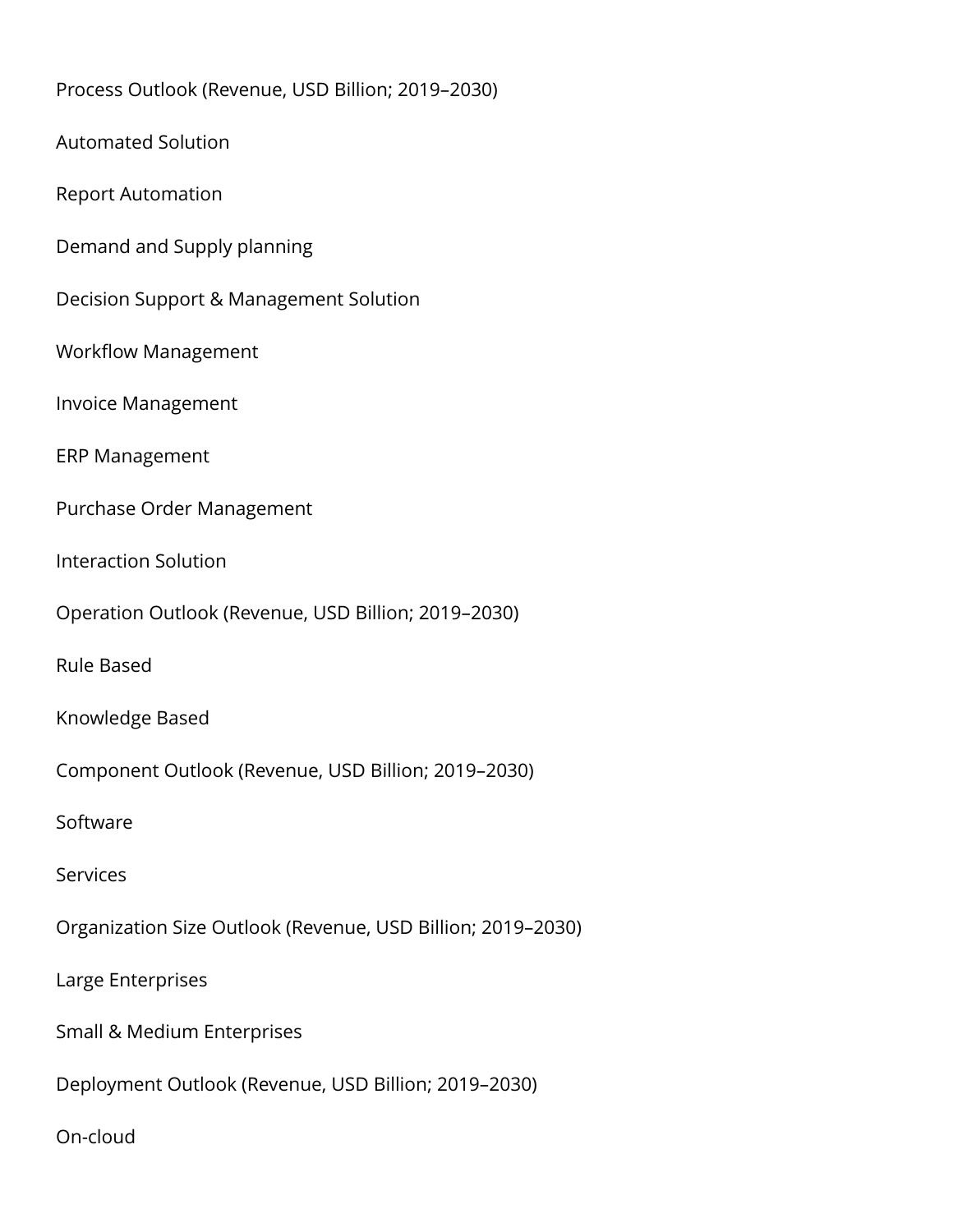Process Outlook (Revenue, USD Billion; 2019–2030) Automated Solution Report Automation Demand and Supply planning Decision Support & Management Solution Workflow Management Invoice Management ERP Management Purchase Order Management Interaction Solution Operation Outlook (Revenue, USD Billion; 2019–2030) Rule Based Knowledge Based Component Outlook (Revenue, USD Billion; 2019–2030) Software **Services** Organization Size Outlook (Revenue, USD Billion; 2019–2030) Large Enterprises Small & Medium Enterprises Deployment Outlook (Revenue, USD Billion; 2019–2030)

On-cloud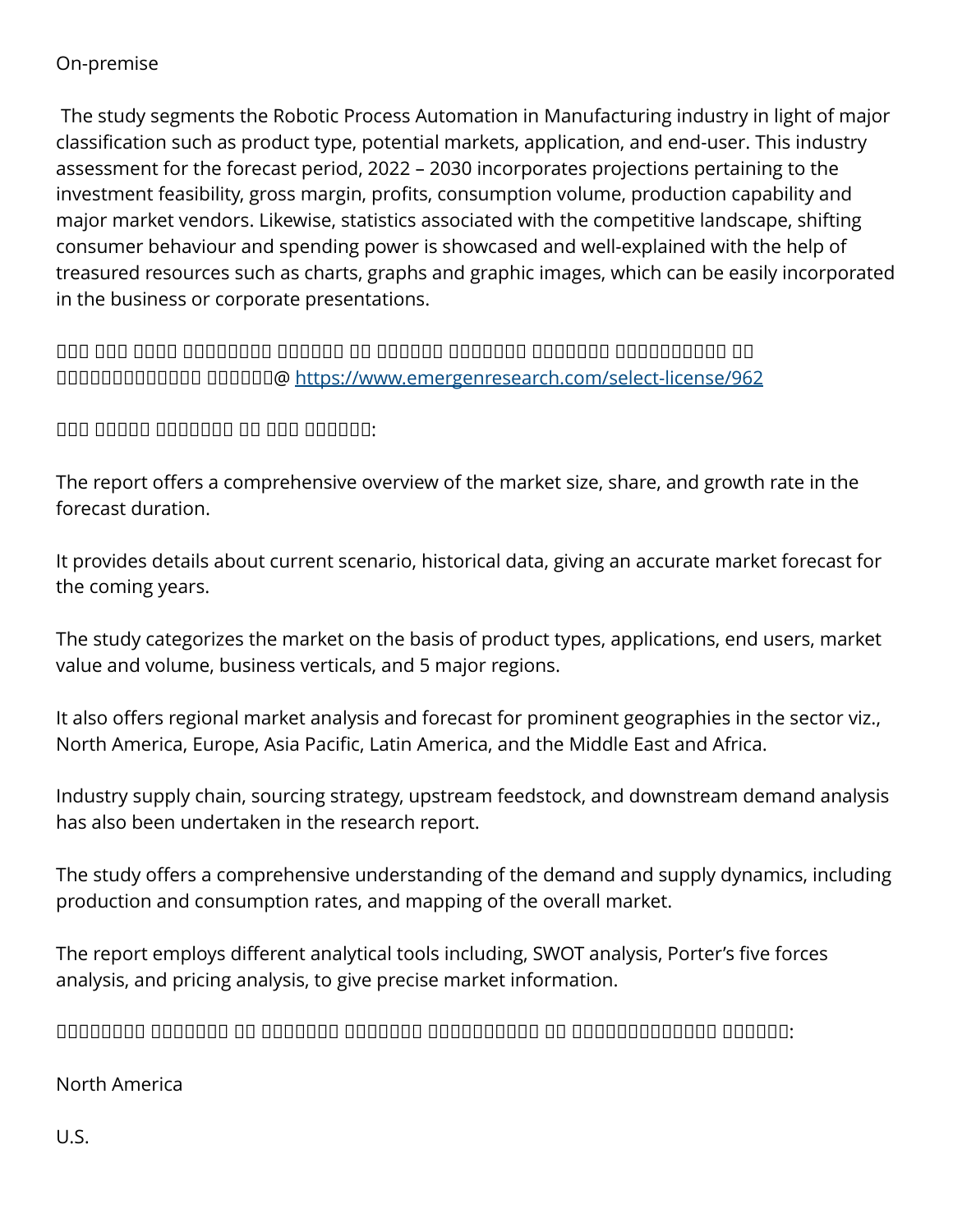#### On-premise

 The study segments the Robotic Process Automation in Manufacturing industry in light of major classification such as product type, potential markets, application, and end-user. This industry assessment for the forecast period, 2022 – 2030 incorporates projections pertaining to the investment feasibility, gross margin, profits, consumption volume, production capability and major market vendors. Likewise, statistics associated with the competitive landscape, shifting consumer behaviour and spending power is showcased and well-explained with the help of treasured resources such as charts, graphs and graphic images, which can be easily incorporated in the business or corporate presentations.

 $\Box$ ᵀᵁᵂᵂᵁᵁᵁᵂᵂᵂᵂᵂᵂ ᵀᵁᵂᵂᵁᵂ@ <https://www.emergenresearch.com/select-license/962>

 $\Box$ 

The report offers a comprehensive overview of the market size, share, and growth rate in the forecast duration.

It provides details about current scenario, historical data, giving an accurate market forecast for the coming years.

The study categorizes the market on the basis of product types, applications, end users, market value and volume, business verticals, and 5 major regions.

It also offers regional market analysis and forecast for prominent geographies in the sector viz., North America, Europe, Asia Pacific, Latin America, and the Middle East and Africa.

Industry supply chain, sourcing strategy, upstream feedstock, and downstream demand analysis has also been undertaken in the research report.

The study offers a comprehensive understanding of the demand and supply dynamics, including production and consumption rates, and mapping of the overall market.

The report employs different analytical tools including, SWOT analysis, Porter's five forces analysis, and pricing analysis, to give precise market information.

 $\Box$ 

#### North America

U.S.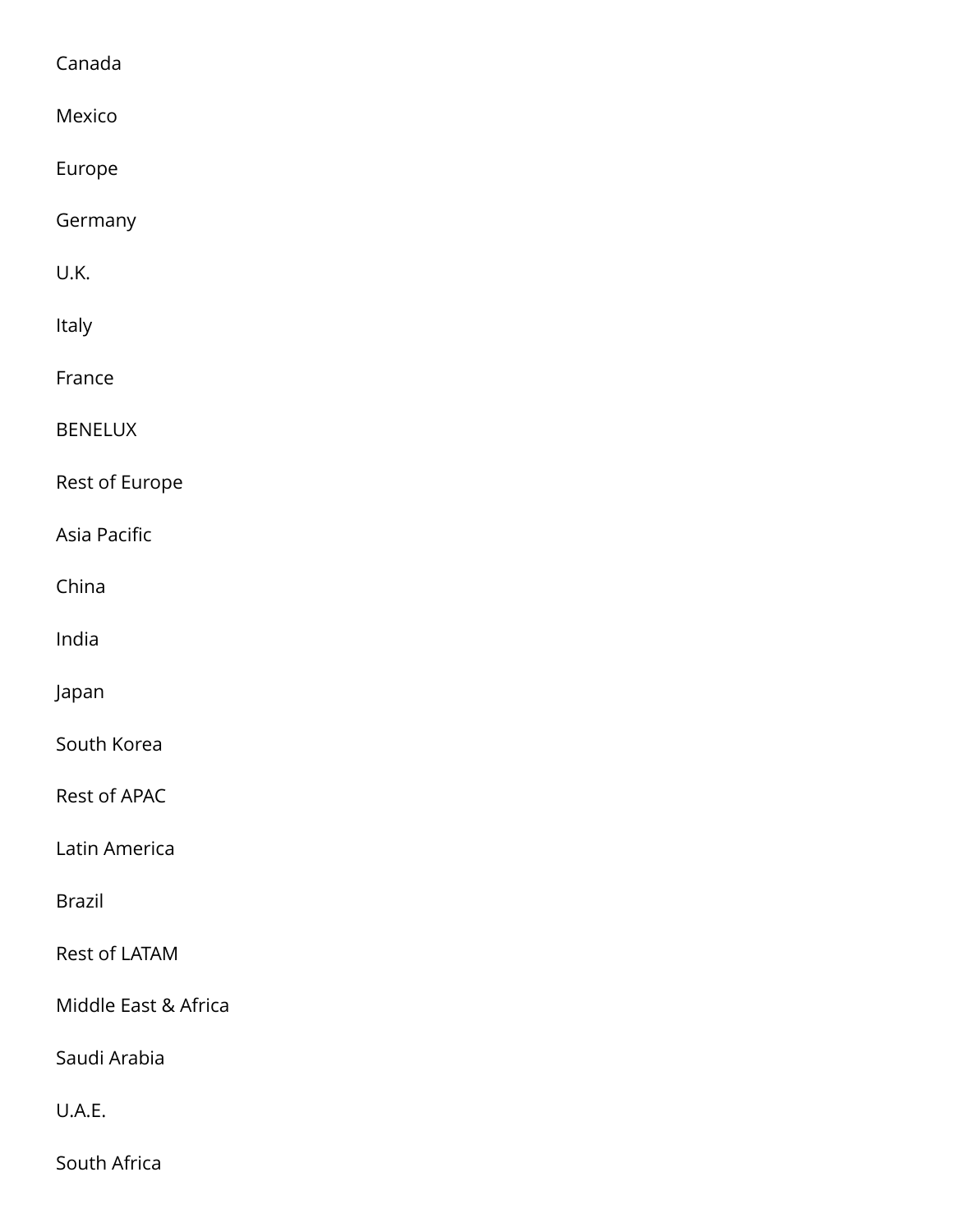#### Canada

| Mexico               |
|----------------------|
| Europe               |
| Germany              |
| U.K.                 |
| Italy                |
| France               |
| <b>BENELUX</b>       |
| Rest of Europe       |
| Asia Pacific         |
| China                |
| India                |
| Japan                |
| South Korea          |
| <b>Rest of APAC</b>  |
| Latin America        |
| <b>Brazil</b>        |
| <b>Rest of LATAM</b> |
| Middle East & Africa |
| Saudi Arabia         |
| U.A.E.               |
|                      |

South Africa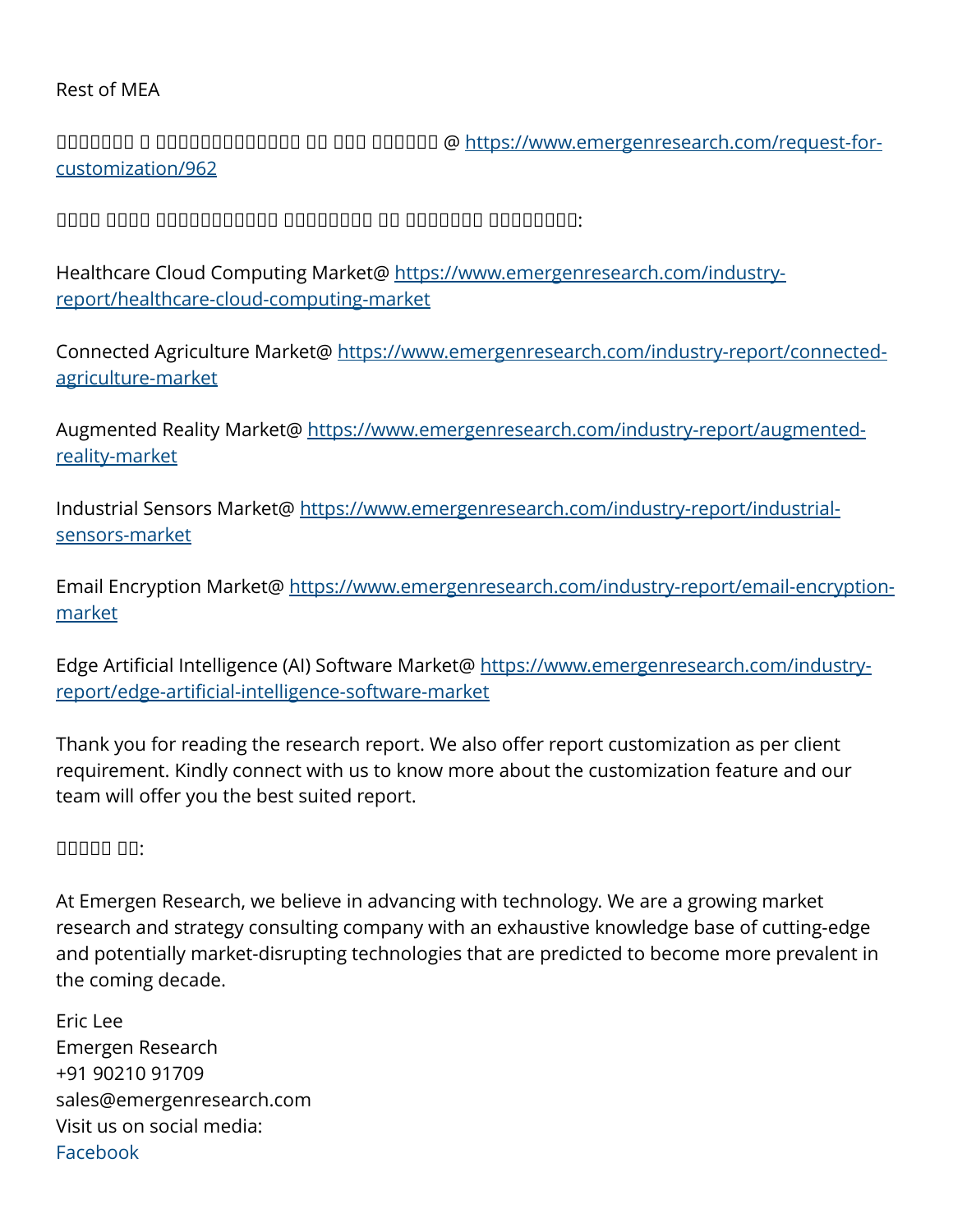#### Rest of MEA

ᵁᵁᵂᵂᵁᵂᵂ ᵁ ᵁᵂᵂᵂᵂᵂᵂᵃᵁᵂᵂᵂᵂ ᵂᵁ ᵂᵂᵁ ᵂᵁᵂᵂᵂᵂ @ [https://www.emergenresearch.com/request-for](https://www.emergenresearch.com/request-for-customization/962)[customization/962](https://www.emergenresearch.com/request-for-customization/962)

 $\Box$ 

Healthcare Cloud Computing Market@ [https://www.emergenresearch.com/industry](https://www.emergenresearch.com/industry-report/healthcare-cloud-computing-market)[report/healthcare-cloud-computing-market](https://www.emergenresearch.com/industry-report/healthcare-cloud-computing-market)

Connected Agriculture Market@ [https://www.emergenresearch.com/industry-report/connected](https://www.emergenresearch.com/industry-report/connected-agriculture-market)[agriculture-market](https://www.emergenresearch.com/industry-report/connected-agriculture-market)

Augmented Reality Market@ [https://www.emergenresearch.com/industry-report/augmented](https://www.emergenresearch.com/industry-report/augmented-reality-market)[reality-market](https://www.emergenresearch.com/industry-report/augmented-reality-market)

Industrial Sensors Market@ [https://www.emergenresearch.com/industry-report/industrial](https://www.emergenresearch.com/industry-report/industrial-sensors-market)[sensors-market](https://www.emergenresearch.com/industry-report/industrial-sensors-market)

Email Encryption Market@ [https://www.emergenresearch.com/industry-report/email-encryption](https://www.emergenresearch.com/industry-report/email-encryption-market)[market](https://www.emergenresearch.com/industry-report/email-encryption-market)

Edge Artificial Intelligence (AI) Software Market@ [https://www.emergenresearch.com/industry](https://www.emergenresearch.com/industry-report/edge-artificial-intelligence-software-market)[report/edge-artificial-intelligence-software-market](https://www.emergenresearch.com/industry-report/edge-artificial-intelligence-software-market)

Thank you for reading the research report. We also offer report customization as per client requirement. Kindly connect with us to know more about the customization feature and our team will offer you the best suited report.

#### nnnn nn:

At Emergen Research, we believe in advancing with technology. We are a growing market research and strategy consulting company with an exhaustive knowledge base of cutting-edge and potentially market-disrupting technologies that are predicted to become more prevalent in the coming decade.

Eric Lee Emergen Research +91 90210 91709 sales@emergenresearch.com Visit us on social media: [Facebook](https://www.facebook.com/emergenresearch)